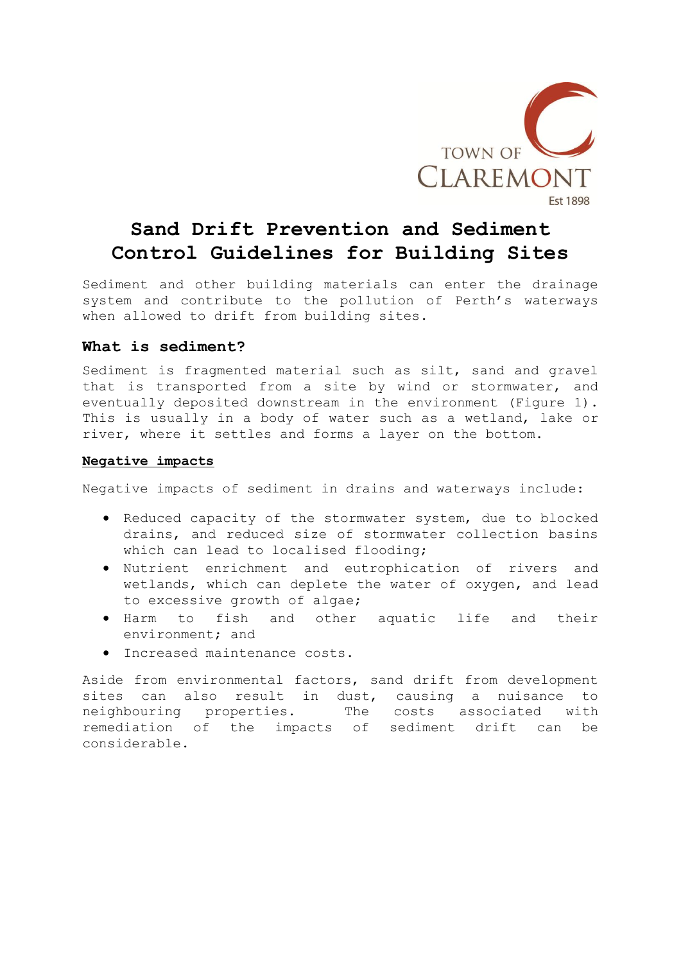

# **Sand Drift Prevention and Sediment Control Guidelines for Building Sites**

Sediment and other building materials can enter the drainage system and contribute to the pollution of Perth's waterways when allowed to drift from building sites.

## **What is sediment?**

Sediment is fragmented material such as silt, sand and gravel that is transported from a site by wind or stormwater, and eventually deposited downstream in the environment (Figure 1). This is usually in a body of water such as a wetland, lake or river, where it settles and forms a layer on the bottom.

## **Negative impacts**

Negative impacts of sediment in drains and waterways include:

- Reduced capacity of the stormwater system, due to blocked drains, and reduced size of stormwater collection basins which can lead to localised flooding;
- Nutrient enrichment and eutrophication of rivers and wetlands, which can deplete the water of oxygen, and lead to excessive growth of algae;
- Harm to fish and other aquatic life and their environment; and
- Increased maintenance costs.

Aside from environmental factors, sand drift from development sites can also result in dust, causing a nuisance to neighbouring properties. The costs associated with remediation of the impacts of sediment drift can be considerable.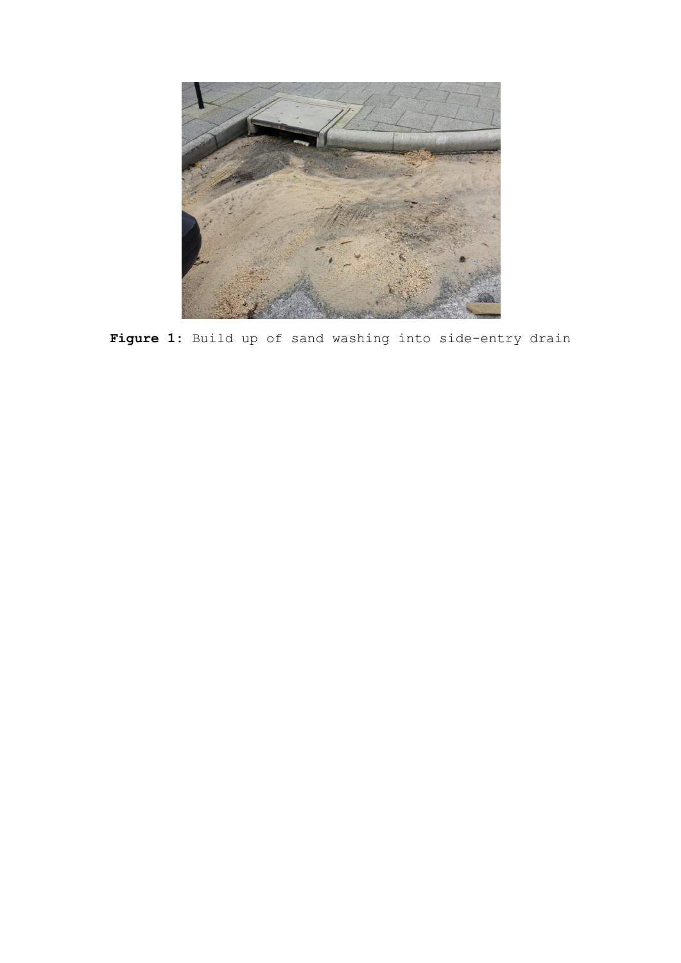

Figure 1: Build up of sand washing into side-entry drain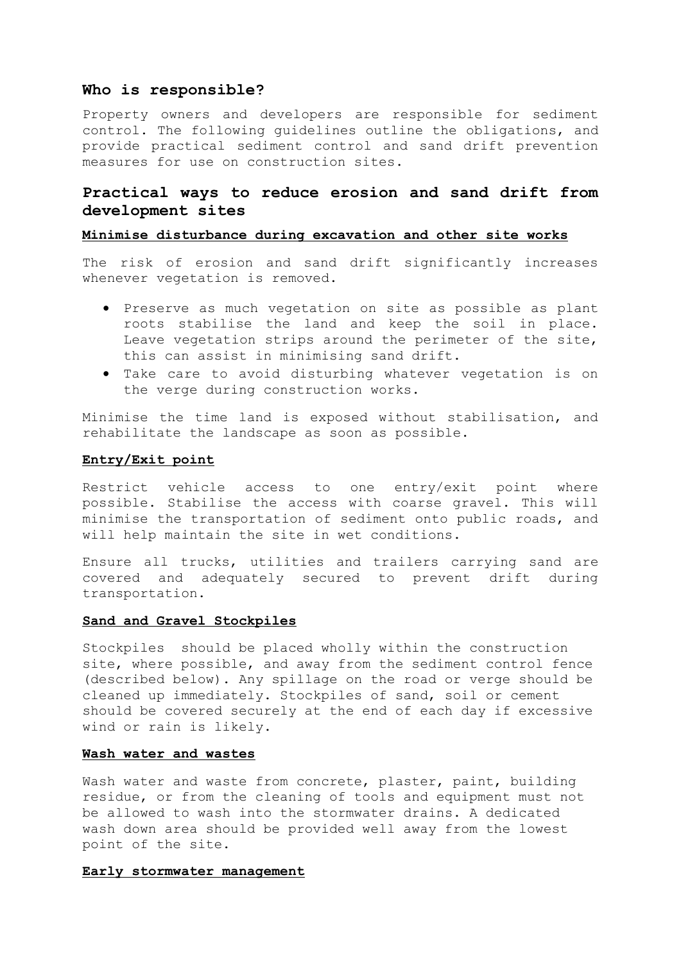#### **Who is responsible?**

Property owners and developers are responsible for sediment control. The following guidelines outline the obligations, and provide practical sediment control and sand drift prevention measures for use on construction sites.

## **Practical ways to reduce erosion and sand drift from development sites**

### **Minimise disturbance during excavation and other site works**

The risk of erosion and sand drift significantly increases whenever vegetation is removed.

- Preserve as much vegetation on site as possible as plant roots stabilise the land and keep the soil in place. Leave vegetation strips around the perimeter of the site, this can assist in minimising sand drift.
- Take care to avoid disturbing whatever vegetation is on the verge during construction works.

Minimise the time land is exposed without stabilisation, and rehabilitate the landscape as soon as possible.

#### **Entry/Exit point**

Restrict vehicle access to one entry/exit point where possible. Stabilise the access with coarse gravel. This will minimise the transportation of sediment onto public roads, and will help maintain the site in wet conditions.

Ensure all trucks, utilities and trailers carrying sand are covered and adequately secured to prevent drift during transportation.

## **Sand and Gravel Stockpiles**

Stockpiles should be placed wholly within the construction site, where possible, and away from the sediment control fence (described below). Any spillage on the road or verge should be cleaned up immediately. Stockpiles of sand, soil or cement should be covered securely at the end of each day if excessive wind or rain is likely.

#### **Wash water and wastes**

Wash water and waste from concrete, plaster, paint, building residue, or from the cleaning of tools and equipment must not be allowed to wash into the stormwater drains. A dedicated wash down area should be provided well away from the lowest point of the site.

#### **Early stormwater management**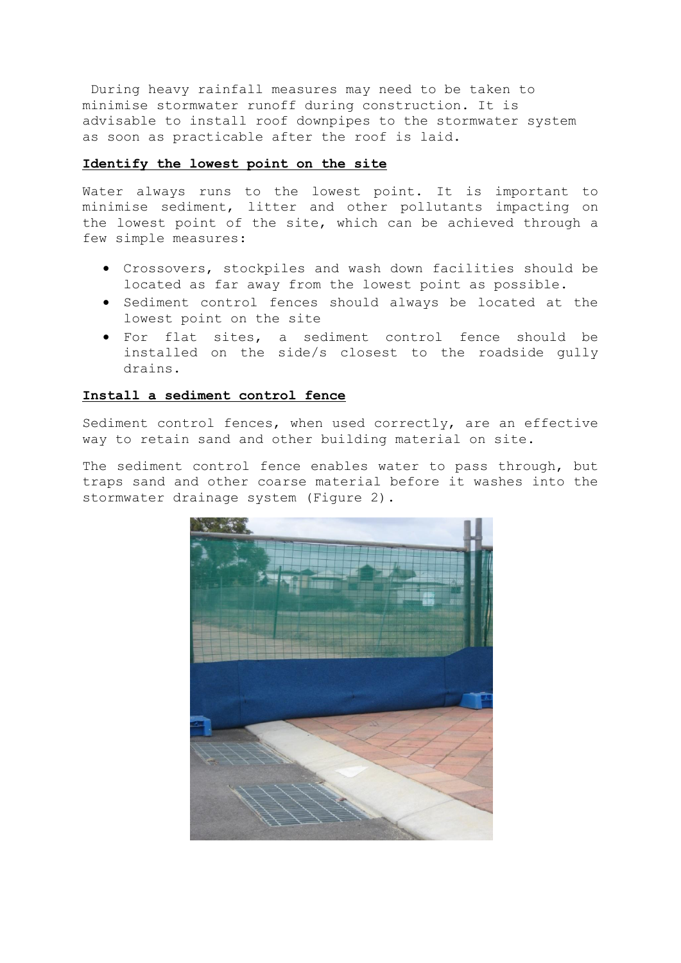During heavy rainfall measures may need to be taken to minimise stormwater runoff during construction. It is advisable to install roof downpipes to the stormwater system as soon as practicable after the roof is laid.

#### **Identify the lowest point on the site**

Water always runs to the lowest point. It is important to minimise sediment, litter and other pollutants impacting on the lowest point of the site, which can be achieved through a few simple measures:

- Crossovers, stockpiles and wash down facilities should be located as far away from the lowest point as possible.
- Sediment control fences should always be located at the lowest point on the site
- For flat sites, a sediment control fence should be installed on the side/s closest to the roadside gully drains.

## **Install a sediment control fence**

Sediment control fences, when used correctly, are an effective way to retain sand and other building material on site.

The sediment control fence enables water to pass through, but traps sand and other coarse material before it washes into the stormwater drainage system (Figure 2).

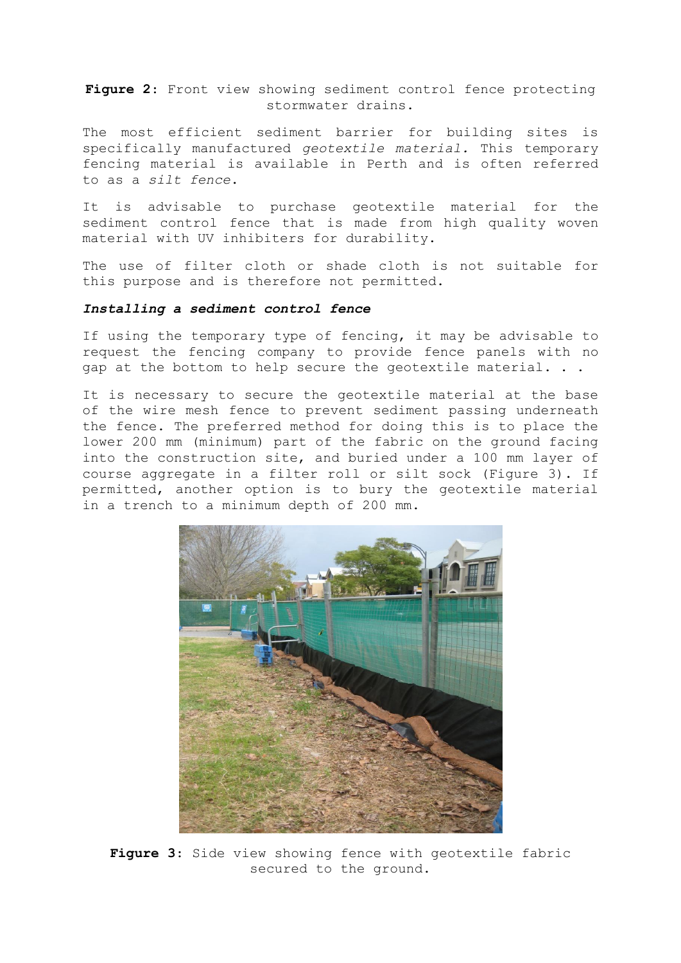**Figure 2**: Front view showing sediment control fence protecting stormwater drains.

The most efficient sediment barrier for building sites is specifically manufactured *geotextile material.* This temporary fencing material is available in Perth and is often referred to as a *silt fence*.

It is advisable to purchase geotextile material for the sediment control fence that is made from high quality woven material with UV inhibiters for durability.

The use of filter cloth or shade cloth is not suitable for this purpose and is therefore not permitted.

#### *Installing a sediment control fence*

If using the temporary type of fencing, it may be advisable to request the fencing company to provide fence panels with no gap at the bottom to help secure the geotextile material. . .

It is necessary to secure the geotextile material at the base of the wire mesh fence to prevent sediment passing underneath the fence. The preferred method for doing this is to place the lower 200 mm (minimum) part of the fabric on the ground facing into the construction site, and buried under a 100 mm layer of course aggregate in a filter roll or silt sock (Figure 3). If permitted, another option is to bury the geotextile material in a trench to a minimum depth of 200 mm.



**Figure 3**: Side view showing fence with geotextile fabric secured to the ground.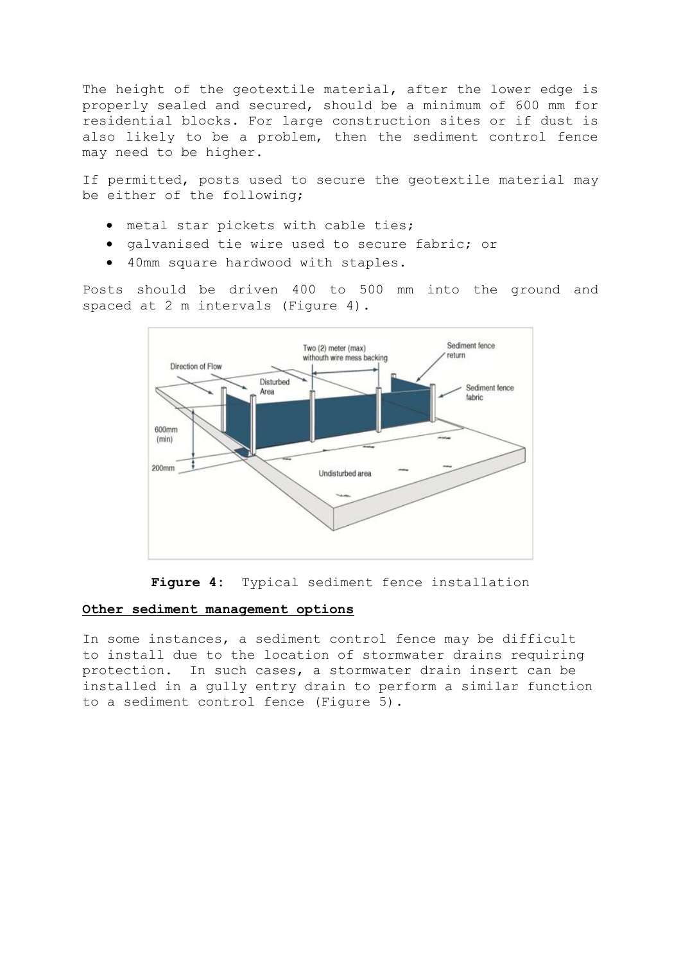The height of the geotextile material, after the lower edge is properly sealed and secured, should be a minimum of 600 mm for residential blocks. For large construction sites or if dust is also likely to be a problem, then the sediment control fence may need to be higher.

If permitted, posts used to secure the geotextile material may be either of the following;

- metal star pickets with cable ties;
- galvanised tie wire used to secure fabric; or
- 40mm square hardwood with staples.

Posts should be driven 400 to 500 mm into the ground and spaced at 2 m intervals (Figure 4).



**Figure 4:** Typical sediment fence installation

#### **Other sediment management options**

In some instances, a sediment control fence may be difficult to install due to the location of stormwater drains requiring protection. In such cases, a stormwater drain insert can be installed in a gully entry drain to perform a similar function to a sediment control fence (Figure 5).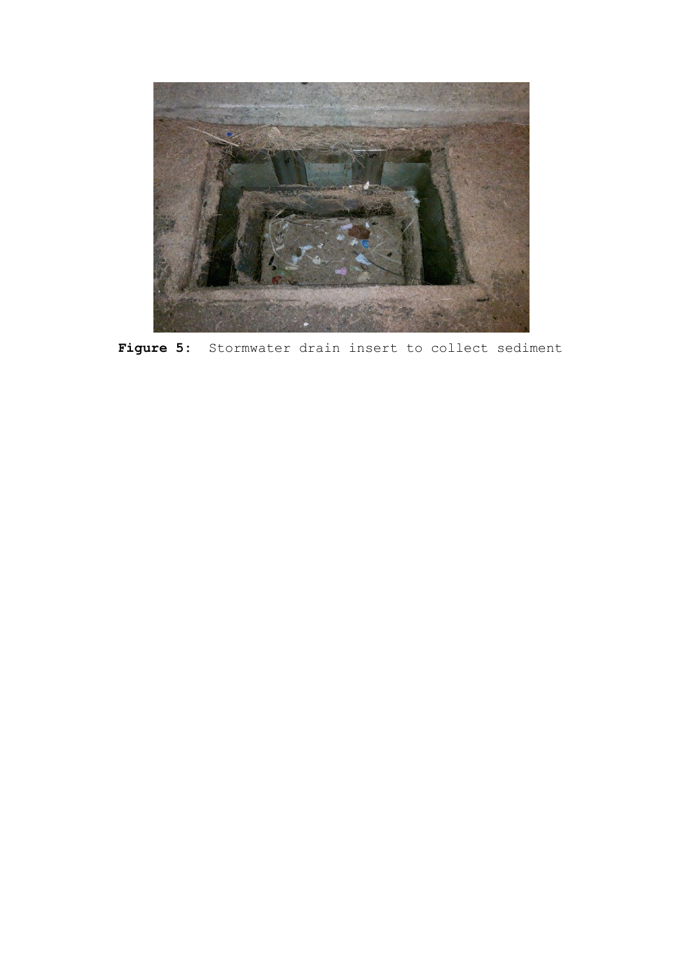

**Figure 5:** Stormwater drain insert to collect sediment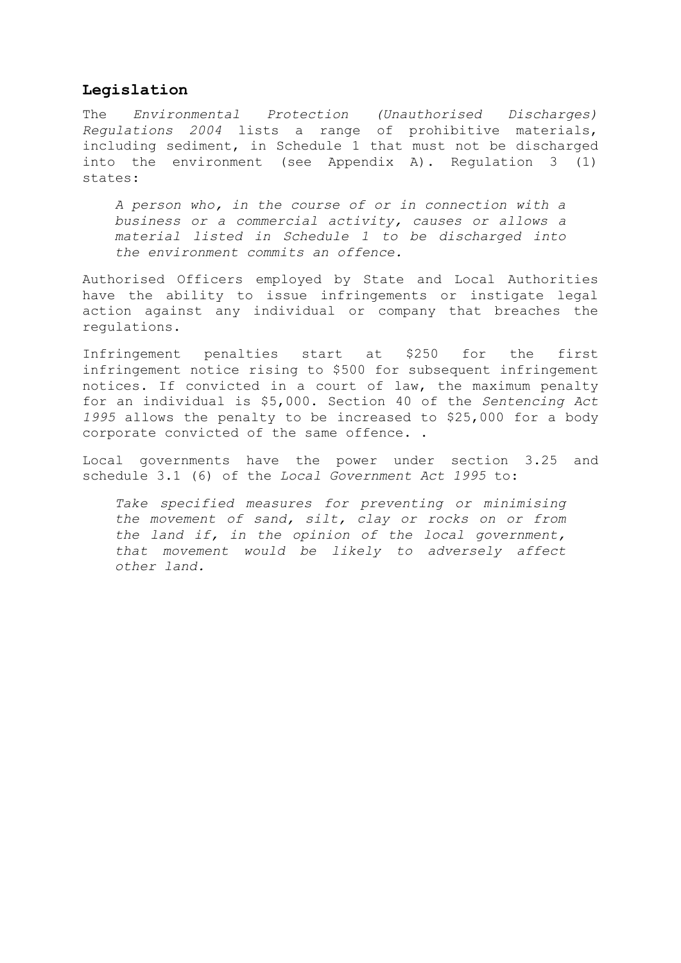## **Legislation**

The *Environmental Protection (Unauthorised Discharges) Regulations 2004* lists a range of prohibitive materials, including sediment, in Schedule 1 that must not be discharged into the environment (see Appendix A). Regulation 3 (1) states:

*A person who, in the course of or in connection with a business or a commercial activity, causes or allows a material listed in Schedule 1 to be discharged into the environment commits an offence.*

Authorised Officers employed by State and Local Authorities have the ability to issue infringements or instigate legal action against any individual or company that breaches the regulations.

Infringement penalties start at \$250 for the first infringement notice rising to \$500 for subsequent infringement notices. If convicted in a court of law, the maximum penalty for an individual is \$5,000. Section 40 of the *Sentencing Act 1995* allows the penalty to be increased to \$25,000 for a body corporate convicted of the same offence. .

Local governments have the power under section 3.25 and schedule 3.1 (6) of the *Local Government Act 1995* to:

*Take specified measures for preventing or minimising the movement of sand, silt, clay or rocks on or from the land if, in the opinion of the local government, that movement would be likely to adversely affect other land.*